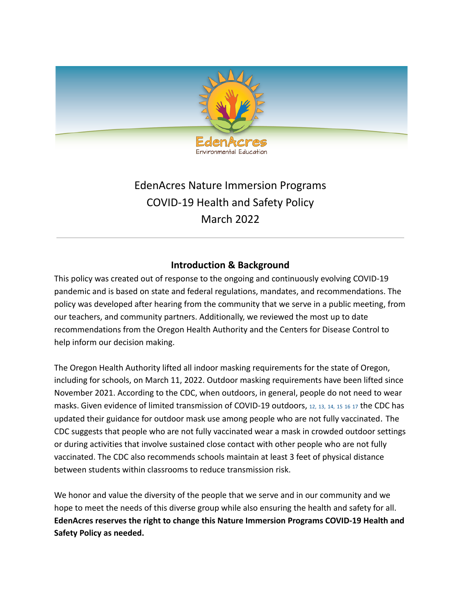

# EdenAcres Nature Immersion Programs COVID-19 Health and Safety Policy March 2022

## **Introduction & Background**

This policy was created out of response to the ongoing and continuously evolving COVID-19 pandemic and is based on state and federal regulations, mandates, and recommendations. The policy was developed after hearing from the community that we serve in a public meeting, from our teachers, and community partners. Additionally, we reviewed the most up to date recommendations from the Oregon Health Authority and the Centers for Disease Control to help inform our decision making.

The Oregon Health Authority lifted all indoor masking requirements for the state of Oregon, including for schools, on March 11, 2022. Outdoor masking requirements have been lifted since November 2021. According to the CDC, when outdoors, in general, people do not need to wear masks. Given evidence of limited transmission of COVID-19 outdoors, [12,](https://www.cdc.gov/coronavirus/2019-ncov/community/schools-childcare/summer-camps.html#ref12) [13,](https://www.cdc.gov/coronavirus/2019-ncov/community/schools-childcare/summer-camps.html#ref13) [14,](https://www.cdc.gov/coronavirus/2019-ncov/community/schools-childcare/summer-camps.html#ref14) [15](https://www.cdc.gov/coronavirus/2019-ncov/community/schools-childcare/summer-camps.html#ref15) [16](https://www.cdc.gov/coronavirus/2019-ncov/community/schools-childcare/summer-camps.html#ref16) [17](https://www.cdc.gov/coronavirus/2019-ncov/community/schools-childcare/summer-camps.html#ref17) the CDC has updated their guidance for outdoor mask use among people who are not fully vaccinated. The CDC suggests that people who are not fully vaccinated wear a mask in crowded outdoor settings or during activities that involve sustained close contact with other people who are not fully vaccinated. The CDC also recommends schools maintain at least 3 feet of physical distance between students within classrooms to reduce transmission risk.

We honor and value the diversity of the people that we serve and in our community and we hope to meet the needs of this diverse group while also ensuring the health and safety for all. **EdenAcres reserves the right to change this Nature Immersion Programs COVID-19 Health and Safety Policy as needed.**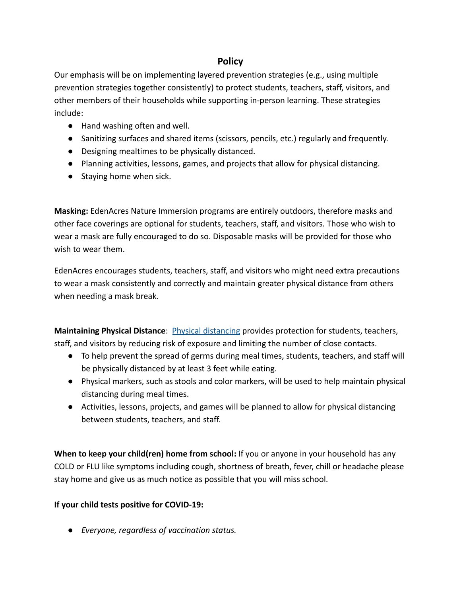## **Policy**

Our emphasis will be on implementing layered prevention strategies (e.g., using multiple prevention strategies together consistently) to protect students, teachers, staff, visitors, and other members of their households while supporting in-person learning. These strategies include:

- Hand washing often and well.
- Sanitizing surfaces and shared items (scissors, pencils, etc.) regularly and frequently.
- Designing mealtimes to be physically distanced.
- Planning activities, lessons, games, and projects that allow for physical distancing.
- Staying home when sick.

**Masking:** EdenAcres Nature Immersion programs are entirely outdoors, therefore masks and other face coverings are optional for students, teachers, staff, and visitors. Those who wish to wear a mask are fully encouraged to do so. Disposable masks will be provided for those who wish to wear them.

EdenAcres encourages students, teachers, staff, and visitors [who might need extra precautions](https://www.cdc.gov/coronavirus/2019-ncov/need-extra-precautions/index.html) to wear a mask consistently and correctly and maintain greater physical distance from others when needing a mask break.

**Maintaining Physical Distance**: [Physical distancing](https://www.cdc.gov/coronavirus/2019-ncov/prevent-getting-sick/social-distancing.html) provides protection for students, teachers, staff, and visitors by reducing risk of exposure and limiting the number of close contacts.

- To help prevent the spread of germs during meal times, students, teachers, and staff will be physically distanced by at least 3 feet while eating.
- Physical markers, such as stools and color markers, will be used to help maintain physical distancing during meal times.
- Activities, lessons, projects, and games will be planned to allow for physical distancing between students, teachers, and staff.

**When to keep your child(ren) home from school:** If you or anyone in your household has any COLD or FLU like symptoms including cough, shortness of breath, fever, chill or headache please stay home and give us as much notice as possible that you will miss school.

### **If your child tests positive for COVID-19:**

*● Everyone, regardless of vaccination status.*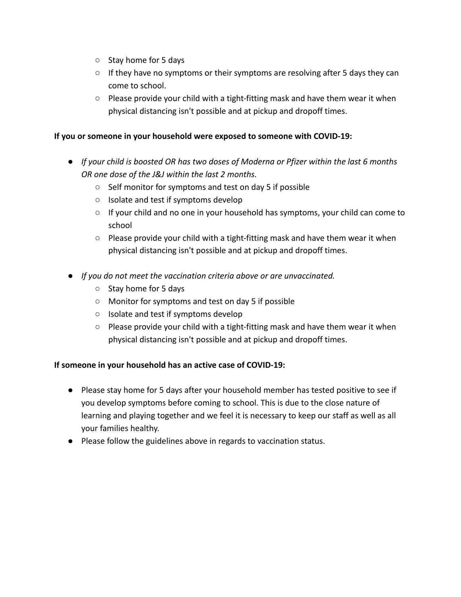- *○* Stay home for 5 days
- *○* If they have no symptoms or their symptoms are resolving after 5 days they can come to school.
- *○* Please provide your child with a tight-fitting mask and have them wear it when physical distancing isn't possible and at pickup and dropoff times.

#### **If you or someone in your household were exposed to someone with COVID-19:**

- *● If your child is boosted OR has two doses of Moderna or Pfizer within the last 6 months OR one dose of the J&J within the last 2 months.*
	- *○* Self monitor for symptoms and test on day 5 if possible
	- *○* Isolate and test if symptoms develop
	- *○* If your child and no one in your household has symptoms, your child can come to school
	- *○* Please provide your child with a tight-fitting mask and have them wear it when physical distancing isn't possible and at pickup and dropoff times.
- *● If you do not meet the vaccination criteria above or are unvaccinated.*
	- *○* Stay home for 5 days
	- *○* Monitor for symptoms and test on day 5 if possible
	- *○* Isolate and test if symptoms develop
	- *○* Please provide your child with a tight-fitting mask and have them wear it when physical distancing isn't possible and at pickup and dropoff times.

#### **If someone in your household has an active case of COVID-19:**

- Please stay home for 5 days after your household member has tested positive to see if you develop symptoms before coming to school. This is due to the close nature of learning and playing together and we feel it is necessary to keep our staff as well as all your families healthy.
- Please follow the guidelines above in regards to vaccination status.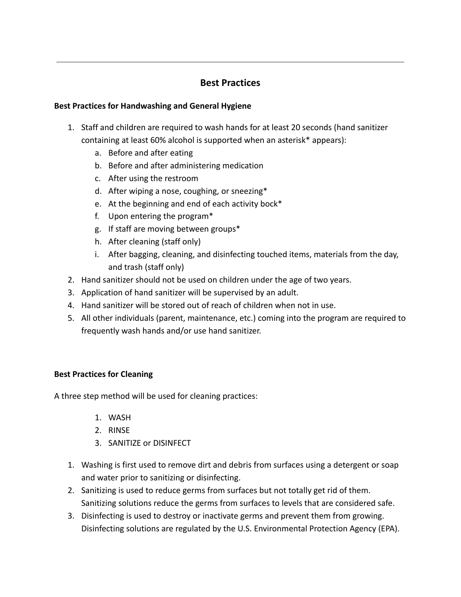## **Best Practices**

#### **Best Practices for Handwashing and General Hygiene**

- 1. Staff and children are required to wash hands for at least 20 seconds (hand sanitizer containing at least 60% alcohol is supported when an asterisk\* appears):
	- a. Before and after eating
	- b. Before and after administering medication
	- c. After using the restroom
	- d. After wiping a nose, coughing, or sneezing\*
	- e. At the beginning and end of each activity bock\*
	- f. Upon entering the program\*
	- g. If staff are moving between groups\*
	- h. After cleaning (staff only)
	- i. After bagging, cleaning, and disinfecting touched items, materials from the day, and trash (staff only)
- 2. Hand sanitizer should not be used on children under the age of two years.
- 3. Application of hand sanitizer will be supervised by an adult.
- 4. Hand sanitizer will be stored out of reach of children when not in use.
- 5. All other individuals (parent, maintenance, etc.) coming into the program are required to frequently wash hands and/or use hand sanitizer.

#### **Best Practices for Cleaning**

A three step method will be used for cleaning practices:

- 1. WASH
- 2. RINSE
- 3. SANITIZE or DISINFECT
- 1. Washing is first used to remove dirt and debris from surfaces using a detergent or soap and water prior to sanitizing or disinfecting.
- 2. Sanitizing is used to reduce germs from surfaces but not totally get rid of them. Sanitizing solutions reduce the germs from surfaces to levels that are considered safe.
- 3. Disinfecting is used to destroy or inactivate germs and prevent them from growing. Disinfecting solutions are regulated by the U.S. Environmental Protection Agency (EPA).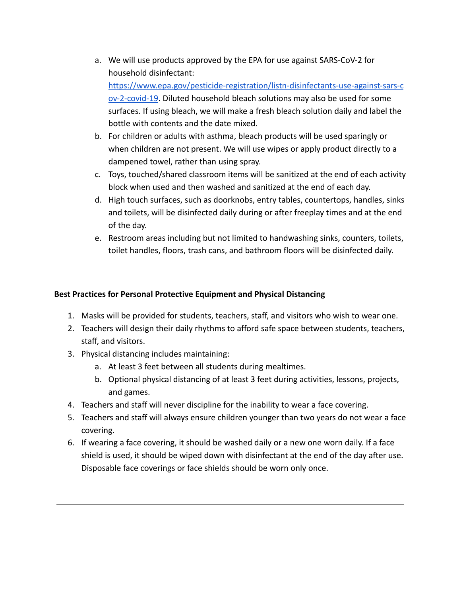- a. We will use products approved by the EPA for use against SARS-CoV-2 for household disinfectant: [https://www.epa.gov/pesticide-registration/listn-disinfectants-use-against-sars-c](https://www.epa.gov/pesticide-registration/listn-disinfectants-use-against-sars-cov-2-covid-19) [ov-2-covid-19](https://www.epa.gov/pesticide-registration/listn-disinfectants-use-against-sars-cov-2-covid-19). Diluted household bleach solutions may also be used for some surfaces. If using bleach, we will make a fresh bleach solution daily and label the bottle with contents and the date mixed.
- b. For children or adults with asthma, bleach products will be used sparingly or when children are not present. We will use wipes or apply product directly to a dampened towel, rather than using spray.
- c. Toys, touched/shared classroom items will be sanitized at the end of each activity block when used and then washed and sanitized at the end of each day.
- d. High touch surfaces, such as doorknobs, entry tables, countertops, handles, sinks and toilets, will be disinfected daily during or after freeplay times and at the end of the day.
- e. Restroom areas including but not limited to handwashing sinks, counters, toilets, toilet handles, floors, trash cans, and bathroom floors will be disinfected daily.

#### **Best Practices for Personal Protective Equipment and Physical Distancing**

- 1. Masks will be provided for students, teachers, staff, and visitors who wish to wear one.
- 2. Teachers will design their daily rhythms to afford safe space between students, teachers, staff, and visitors.
- 3. Physical distancing includes maintaining:
	- a. At least 3 feet between all students during mealtimes.
	- b. Optional physical distancing of at least 3 feet during activities, lessons, projects, and games.
- 4. Teachers and staff will never discipline for the inability to wear a face covering.
- 5. Teachers and staff will always ensure children younger than two years do not wear a face covering.
- 6. If wearing a face covering, it should be washed daily or a new one worn daily. If a face shield is used, it should be wiped down with disinfectant at the end of the day after use. Disposable face coverings or face shields should be worn only once.